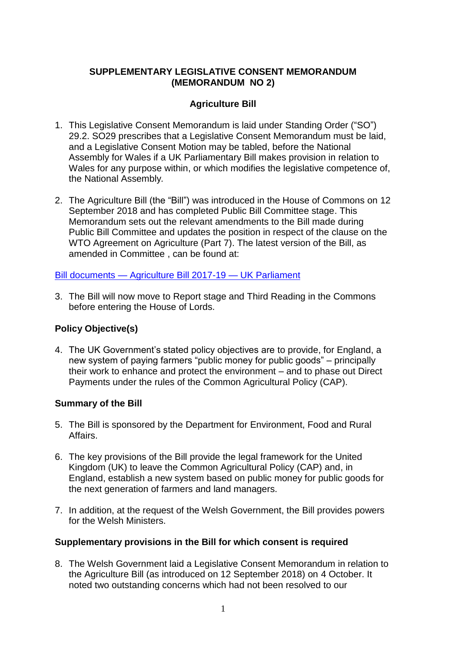### **SUPPLEMENTARY LEGISLATIVE CONSENT MEMORANDUM (MEMORANDUM NO 2)**

# **Agriculture Bill**

- 1. This Legislative Consent Memorandum is laid under Standing Order ("SO") 29.2. SO29 prescribes that a Legislative Consent Memorandum must be laid, and a Legislative Consent Motion may be tabled, before the National Assembly for Wales if a UK Parliamentary Bill makes provision in relation to Wales for any purpose within, or which modifies the legislative competence of, the National Assembly*.*
- 2. The Agriculture Bill (the "Bill") was introduced in the House of Commons on 12 September 2018 and has completed Public Bill Committee stage. This Memorandum sets out the relevant amendments to the Bill made during Public Bill Committee and updates the position in respect of the clause on the WTO Agreement on Agriculture (Part 7). The latest version of the Bill, as amended in Committee , can be found at:

### Bill documents — [Agriculture Bill 2017-19 —](https://services.parliament.uk/Bills/2017-19/agriculture/documents.html) UK Parliament

3. The Bill will now move to Report stage and Third Reading in the Commons before entering the House of Lords.

## **Policy Objective(s)**

4. The UK Government's stated policy objectives are to provide, for England, a new system of paying farmers "public money for public goods" – principally their work to enhance and protect the environment – and to phase out Direct Payments under the rules of the Common Agricultural Policy (CAP).

### **Summary of the Bill**

- 5. The Bill is sponsored by the Department for Environment, Food and Rural Affairs.
- 6. The key provisions of the Bill provide the legal framework for the United Kingdom (UK) to leave the Common Agricultural Policy (CAP) and, in England, establish a new system based on public money for public goods for the next generation of farmers and land managers.
- 7. In addition, at the request of the Welsh Government, the Bill provides powers for the Welsh Ministers.

## **Supplementary provisions in the Bill for which consent is required**

8. The Welsh Government laid a Legislative Consent Memorandum in relation to the Agriculture Bill (as introduced on 12 September 2018) on 4 October. It noted two outstanding concerns which had not been resolved to our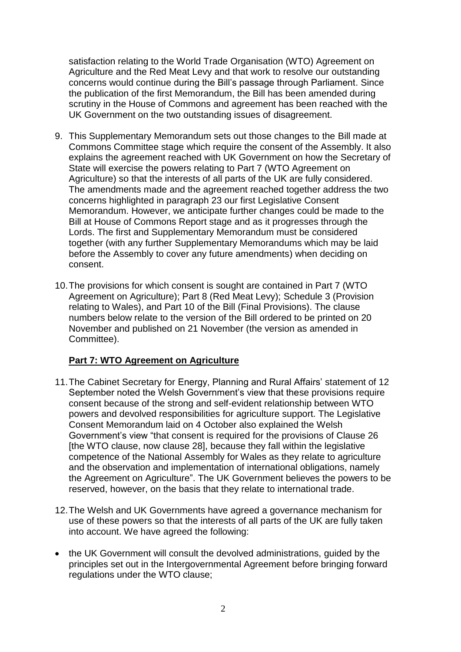satisfaction relating to the World Trade Organisation (WTO) Agreement on Agriculture and the Red Meat Levy and that work to resolve our outstanding concerns would continue during the Bill's passage through Parliament. Since the publication of the first Memorandum, the Bill has been amended during scrutiny in the House of Commons and agreement has been reached with the UK Government on the two outstanding issues of disagreement.

- 9. This Supplementary Memorandum sets out those changes to the Bill made at Commons Committee stage which require the consent of the Assembly. It also explains the agreement reached with UK Government on how the Secretary of State will exercise the powers relating to Part 7 (WTO Agreement on Agriculture) so that the interests of all parts of the UK are fully considered. The amendments made and the agreement reached together address the two concerns highlighted in paragraph 23 our first Legislative Consent Memorandum. However, we anticipate further changes could be made to the Bill at House of Commons Report stage and as it progresses through the Lords. The first and Supplementary Memorandum must be considered together (with any further Supplementary Memorandums which may be laid before the Assembly to cover any future amendments) when deciding on consent.
- 10.The provisions for which consent is sought are contained in Part 7 (WTO Agreement on Agriculture); Part 8 (Red Meat Levy); Schedule 3 (Provision relating to Wales), and Part 10 of the Bill (Final Provisions). The clause numbers below relate to the version of the Bill ordered to be printed on 20 November and published on 21 November (the version as amended in Committee).

## **Part 7: WTO Agreement on Agriculture**

- 11.The Cabinet Secretary for Energy, Planning and Rural Affairs' statement of 12 September noted the Welsh Government's view that these provisions require consent because of the strong and self-evident relationship between WTO powers and devolved responsibilities for agriculture support. The Legislative Consent Memorandum laid on 4 October also explained the Welsh Government's view "that consent is required for the provisions of Clause 26 [the WTO clause, now clause 28], because they fall within the legislative competence of the National Assembly for Wales as they relate to agriculture and the observation and implementation of international obligations, namely the Agreement on Agriculture". The UK Government believes the powers to be reserved, however, on the basis that they relate to international trade.
- 12.The Welsh and UK Governments have agreed a governance mechanism for use of these powers so that the interests of all parts of the UK are fully taken into account. We have agreed the following:
- the UK Government will consult the devolved administrations, guided by the principles set out in the Intergovernmental Agreement before bringing forward regulations under the WTO clause;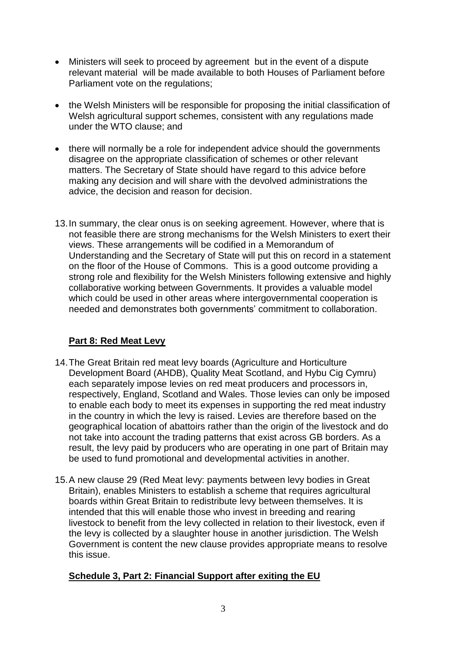- Ministers will seek to proceed by agreement but in the event of a dispute relevant material will be made available to both Houses of Parliament before Parliament vote on the regulations;
- the Welsh Ministers will be responsible for proposing the initial classification of Welsh agricultural support schemes, consistent with any regulations made under the WTO clause; and
- there will normally be a role for independent advice should the governments disagree on the appropriate classification of schemes or other relevant matters. The Secretary of State should have regard to this advice before making any decision and will share with the devolved administrations the advice, the decision and reason for decision.
- 13.In summary, the clear onus is on seeking agreement. However, where that is not feasible there are strong mechanisms for the Welsh Ministers to exert their views. These arrangements will be codified in a Memorandum of Understanding and the Secretary of State will put this on record in a statement on the floor of the House of Commons. This is a good outcome providing a strong role and flexibility for the Welsh Ministers following extensive and highly collaborative working between Governments. It provides a valuable model which could be used in other areas where intergovernmental cooperation is needed and demonstrates both governments' commitment to collaboration.

## **Part 8: Red Meat Levy**

- 14.The Great Britain red meat levy boards (Agriculture and Horticulture Development Board (AHDB), Quality Meat Scotland, and Hybu Cig Cymru) each separately impose levies on red meat producers and processors in, respectively, England, Scotland and Wales. Those levies can only be imposed to enable each body to meet its expenses in supporting the red meat industry in the country in which the levy is raised. Levies are therefore based on the geographical location of abattoirs rather than the origin of the livestock and do not take into account the trading patterns that exist across GB borders. As a result, the levy paid by producers who are operating in one part of Britain may be used to fund promotional and developmental activities in another.
- 15.A new clause 29 (Red Meat levy: payments between levy bodies in Great Britain), enables Ministers to establish a scheme that requires agricultural boards within Great Britain to redistribute levy between themselves. It is intended that this will enable those who invest in breeding and rearing livestock to benefit from the levy collected in relation to their livestock, even if the levy is collected by a slaughter house in another jurisdiction. The Welsh Government is content the new clause provides appropriate means to resolve this issue.

## **Schedule 3, Part 2: Financial Support after exiting the EU**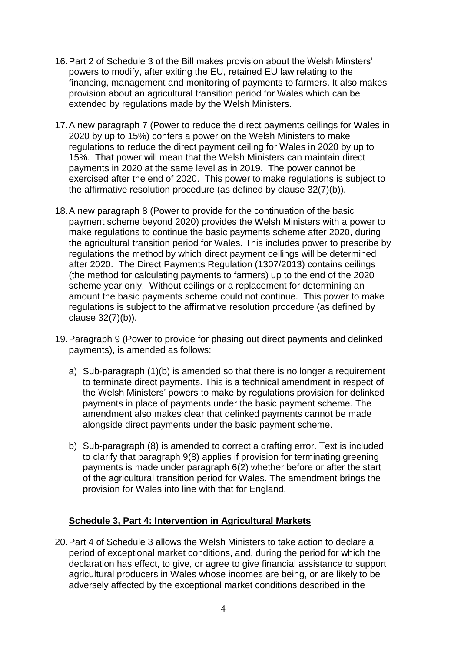- 16.Part 2 of Schedule 3 of the Bill makes provision about the Welsh Minsters' powers to modify, after exiting the EU, retained EU law relating to the financing, management and monitoring of payments to farmers. It also makes provision about an agricultural transition period for Wales which can be extended by regulations made by the Welsh Ministers.
- 17.A new paragraph 7 (Power to reduce the direct payments ceilings for Wales in 2020 by up to 15%) confers a power on the Welsh Ministers to make regulations to reduce the direct payment ceiling for Wales in 2020 by up to 15%*.* That power will mean that the Welsh Ministers can maintain direct payments in 2020 at the same level as in 2019. The power cannot be exercised after the end of 2020. This power to make regulations is subject to the affirmative resolution procedure (as defined by clause 32(7)(b)).
- 18.A new paragraph 8 (Power to provide for the continuation of the basic payment scheme beyond 2020) provides the Welsh Ministers with a power to make regulations to continue the basic payments scheme after 2020, during the agricultural transition period for Wales. This includes power to prescribe by regulations the method by which direct payment ceilings will be determined after 2020. The Direct Payments Regulation (1307/2013) contains ceilings (the method for calculating payments to farmers) up to the end of the 2020 scheme year only. Without ceilings or a replacement for determining an amount the basic payments scheme could not continue. This power to make regulations is subject to the affirmative resolution procedure (as defined by clause 32(7)(b)).
- 19.Paragraph 9 (Power to provide for phasing out direct payments and delinked payments), is amended as follows:
	- a) Sub-paragraph (1)(b) is amended so that there is no longer a requirement to terminate direct payments. This is a technical amendment in respect of the Welsh Ministers' powers to make by regulations provision for delinked payments in place of payments under the basic payment scheme. The amendment also makes clear that delinked payments cannot be made alongside direct payments under the basic payment scheme.
	- b) Sub-paragraph (8) is amended to correct a drafting error. Text is included to clarify that paragraph 9(8) applies if provision for terminating greening payments is made under paragraph 6(2) whether before or after the start of the agricultural transition period for Wales. The amendment brings the provision for Wales into line with that for England.

### **Schedule 3, Part 4: Intervention in Agricultural Markets**

20.Part 4 of Schedule 3 allows the Welsh Ministers to take action to declare a period of exceptional market conditions, and, during the period for which the declaration has effect, to give, or agree to give financial assistance to support agricultural producers in Wales whose incomes are being, or are likely to be adversely affected by the exceptional market conditions described in the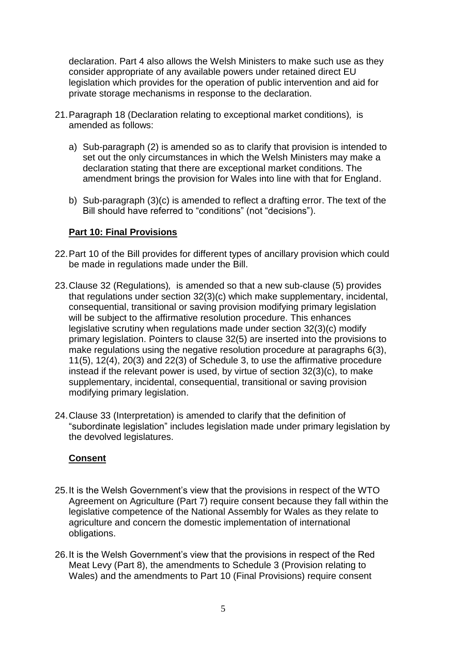declaration. Part 4 also allows the Welsh Ministers to make such use as they consider appropriate of any available powers under retained direct EU legislation which provides for the operation of public intervention and aid for private storage mechanisms in response to the declaration.

- 21.Paragraph 18 (Declaration relating to exceptional market conditions)*,* is amended as follows:
	- a) Sub-paragraph (2) is amended so as to clarify that provision is intended to set out the only circumstances in which the Welsh Ministers may make a declaration stating that there are exceptional market conditions. The amendment brings the provision for Wales into line with that for England.
	- b) Sub-paragraph (3)(c) is amended to reflect a drafting error. The text of the Bill should have referred to "conditions" (not "decisions").

### **Part 10: Final Provisions**

- 22.Part 10 of the Bill provides for different types of ancillary provision which could be made in regulations made under the Bill.
- 23.Clause 32 (Regulations)*,* is amended so that a new sub-clause (5) provides that regulations under section 32(3)(c) which make supplementary, incidental, consequential, transitional or saving provision modifying primary legislation will be subject to the affirmative resolution procedure. This enhances legislative scrutiny when regulations made under section 32(3)(c) modify primary legislation. Pointers to clause 32(5) are inserted into the provisions to make regulations using the negative resolution procedure at paragraphs 6(3), 11(5), 12(4), 20(3) and 22(3) of Schedule 3, to use the affirmative procedure instead if the relevant power is used, by virtue of section 32(3)(c), to make supplementary, incidental, consequential, transitional or saving provision modifying primary legislation.
- 24.Clause 33 (Interpretation) is amended to clarify that the definition of "subordinate legislation" includes legislation made under primary legislation by the devolved legislatures.

### **Consent**

- 25.It is the Welsh Government's view that the provisions in respect of the WTO Agreement on Agriculture (Part 7) require consent because they fall within the legislative competence of the National Assembly for Wales as they relate to agriculture and concern the domestic implementation of international obligations.
- 26.It is the Welsh Government's view that the provisions in respect of the Red Meat Levy (Part 8), the amendments to Schedule 3 (Provision relating to Wales) and the amendments to Part 10 (Final Provisions) require consent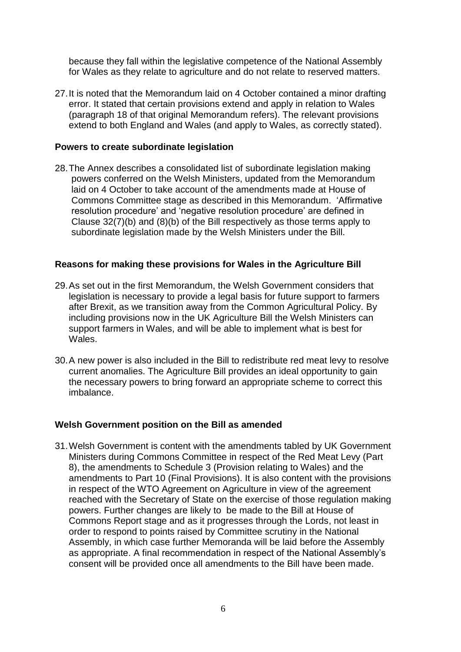because they fall within the legislative competence of the National Assembly for Wales as they relate to agriculture and do not relate to reserved matters.

27.It is noted that the Memorandum laid on 4 October contained a minor drafting error. It stated that certain provisions extend and apply in relation to Wales (paragraph 18 of that original Memorandum refers). The relevant provisions extend to both England and Wales (and apply to Wales, as correctly stated).

#### **Powers to create subordinate legislation**

28.The Annex describes a consolidated list of subordinate legislation making powers conferred on the Welsh Ministers, updated from the Memorandum laid on 4 October to take account of the amendments made at House of Commons Committee stage as described in this Memorandum. 'Affirmative resolution procedure' and 'negative resolution procedure' are defined in Clause 32(7)(b) and (8)(b) of the Bill respectively as those terms apply to subordinate legislation made by the Welsh Ministers under the Bill.

### **Reasons for making these provisions for Wales in the Agriculture Bill**

- 29.As set out in the first Memorandum, the Welsh Government considers that legislation is necessary to provide a legal basis for future support to farmers after Brexit, as we transition away from the Common Agricultural Policy. By including provisions now in the UK Agriculture Bill the Welsh Ministers can support farmers in Wales, and will be able to implement what is best for Wales.
- 30.A new power is also included in the Bill to redistribute red meat levy to resolve current anomalies. The Agriculture Bill provides an ideal opportunity to gain the necessary powers to bring forward an appropriate scheme to correct this imbalance.

### **Welsh Government position on the Bill as amended**

31.Welsh Government is content with the amendments tabled by UK Government Ministers during Commons Committee in respect of the Red Meat Levy (Part 8), the amendments to Schedule 3 (Provision relating to Wales) and the amendments to Part 10 (Final Provisions). It is also content with the provisions in respect of the WTO Agreement on Agriculture in view of the agreement reached with the Secretary of State on the exercise of those regulation making powers. Further changes are likely to be made to the Bill at House of Commons Report stage and as it progresses through the Lords, not least in order to respond to points raised by Committee scrutiny in the National Assembly, in which case further Memoranda will be laid before the Assembly as appropriate. A final recommendation in respect of the National Assembly's consent will be provided once all amendments to the Bill have been made.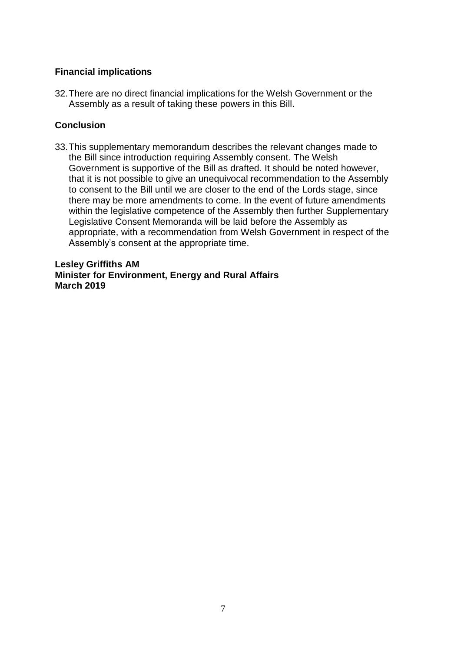### **Financial implications**

32.There are no direct financial implications for the Welsh Government or the Assembly as a result of taking these powers in this Bill.

## **Conclusion**

33.This supplementary memorandum describes the relevant changes made to the Bill since introduction requiring Assembly consent. The Welsh Government is supportive of the Bill as drafted. It should be noted however, that it is not possible to give an unequivocal recommendation to the Assembly to consent to the Bill until we are closer to the end of the Lords stage, since there may be more amendments to come. In the event of future amendments within the legislative competence of the Assembly then further Supplementary Legislative Consent Memoranda will be laid before the Assembly as appropriate, with a recommendation from Welsh Government in respect of the Assembly's consent at the appropriate time.

**Lesley Griffiths AM Minister for Environment, Energy and Rural Affairs March 2019**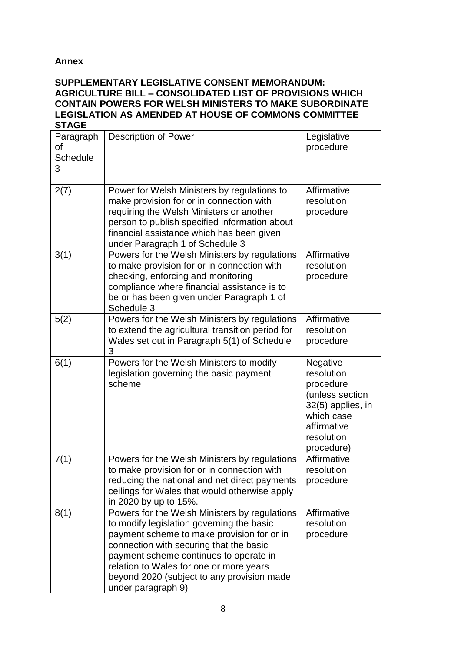## **Annex**

#### **SUPPLEMENTARY LEGISLATIVE CONSENT MEMORANDUM: AGRICULTURE BILL – CONSOLIDATED LIST OF PROVISIONS WHICH CONTAIN POWERS FOR WELSH MINISTERS TO MAKE SUBORDINATE LEGISLATION AS AMENDED AT HOUSE OF COMMONS COMMITTEE STAGE**

| Paragraph<br>οf<br><b>Schedule</b><br>3 | Description of Power                                                                                                                                                                                                                                                                                                                         | Legislative<br>procedure                                                                                                             |
|-----------------------------------------|----------------------------------------------------------------------------------------------------------------------------------------------------------------------------------------------------------------------------------------------------------------------------------------------------------------------------------------------|--------------------------------------------------------------------------------------------------------------------------------------|
| 2(7)                                    | Power for Welsh Ministers by regulations to<br>make provision for or in connection with<br>requiring the Welsh Ministers or another<br>person to publish specified information about<br>financial assistance which has been given<br>under Paragraph 1 of Schedule 3                                                                         | Affirmative<br>resolution<br>procedure                                                                                               |
| 3(1)                                    | Powers for the Welsh Ministers by regulations<br>to make provision for or in connection with<br>checking, enforcing and monitoring<br>compliance where financial assistance is to<br>be or has been given under Paragraph 1 of<br>Schedule 3                                                                                                 | Affirmative<br>resolution<br>procedure                                                                                               |
| 5(2)                                    | Powers for the Welsh Ministers by regulations<br>to extend the agricultural transition period for<br>Wales set out in Paragraph 5(1) of Schedule<br>3                                                                                                                                                                                        | Affirmative<br>resolution<br>procedure                                                                                               |
| 6(1)                                    | Powers for the Welsh Ministers to modify<br>legislation governing the basic payment<br>scheme                                                                                                                                                                                                                                                | Negative<br>resolution<br>procedure<br>(unless section<br>32(5) applies, in<br>which case<br>affirmative<br>resolution<br>procedure) |
| 7(1)                                    | Powers for the Welsh Ministers by regulations<br>to make provision for or in connection with<br>reducing the national and net direct payments<br>ceilings for Wales that would otherwise apply<br>in 2020 by up to 15%.                                                                                                                      | Affirmative<br>resolution<br>procedure                                                                                               |
| 8(1)                                    | Powers for the Welsh Ministers by regulations<br>to modify legislation governing the basic<br>payment scheme to make provision for or in<br>connection with securing that the basic<br>payment scheme continues to operate in<br>relation to Wales for one or more years<br>beyond 2020 (subject to any provision made<br>under paragraph 9) | Affirmative<br>resolution<br>procedure                                                                                               |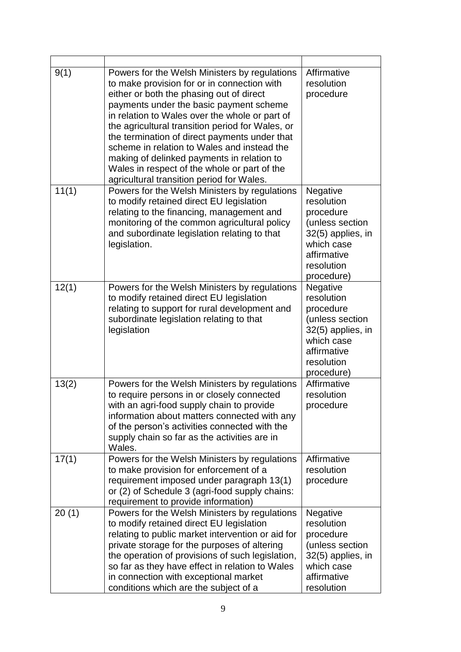| 9(1)  | Powers for the Welsh Ministers by regulations<br>to make provision for or in connection with<br>either or both the phasing out of direct<br>payments under the basic payment scheme<br>in relation to Wales over the whole or part of<br>the agricultural transition period for Wales, or<br>the termination of direct payments under that<br>scheme in relation to Wales and instead the<br>making of delinked payments in relation to<br>Wales in respect of the whole or part of the<br>agricultural transition period for Wales. | Affirmative<br>resolution<br>procedure                                                                                               |
|-------|--------------------------------------------------------------------------------------------------------------------------------------------------------------------------------------------------------------------------------------------------------------------------------------------------------------------------------------------------------------------------------------------------------------------------------------------------------------------------------------------------------------------------------------|--------------------------------------------------------------------------------------------------------------------------------------|
| 11(1) | Powers for the Welsh Ministers by regulations<br>to modify retained direct EU legislation<br>relating to the financing, management and<br>monitoring of the common agricultural policy<br>and subordinate legislation relating to that<br>legislation.                                                                                                                                                                                                                                                                               | Negative<br>resolution<br>procedure<br>(unless section<br>32(5) applies, in<br>which case<br>affirmative<br>resolution<br>procedure) |
| 12(1) | Powers for the Welsh Ministers by regulations<br>to modify retained direct EU legislation<br>relating to support for rural development and<br>subordinate legislation relating to that<br>legislation                                                                                                                                                                                                                                                                                                                                | Negative<br>resolution<br>procedure<br>(unless section<br>32(5) applies, in<br>which case<br>affirmative<br>resolution<br>procedure) |
| 13(2) | Powers for the Welsh Ministers by regulations<br>to require persons in or closely connected<br>with an agri-food supply chain to provide<br>information about matters connected with any<br>of the person's activities connected with the<br>supply chain so far as the activities are in<br>Wales.                                                                                                                                                                                                                                  | Affirmative<br>resolution<br>procedure                                                                                               |
| 17(1) | Powers for the Welsh Ministers by regulations<br>to make provision for enforcement of a<br>requirement imposed under paragraph 13(1)<br>or (2) of Schedule 3 (agri-food supply chains:<br>requirement to provide information)                                                                                                                                                                                                                                                                                                        | Affirmative<br>resolution<br>procedure                                                                                               |
| 20(1) | Powers for the Welsh Ministers by regulations<br>to modify retained direct EU legislation<br>relating to public market intervention or aid for<br>private storage for the purposes of altering<br>the operation of provisions of such legislation,<br>so far as they have effect in relation to Wales<br>in connection with exceptional market<br>conditions which are the subject of a                                                                                                                                              | Negative<br>resolution<br>procedure<br>(unless section<br>32(5) applies, in<br>which case<br>affirmative<br>resolution               |